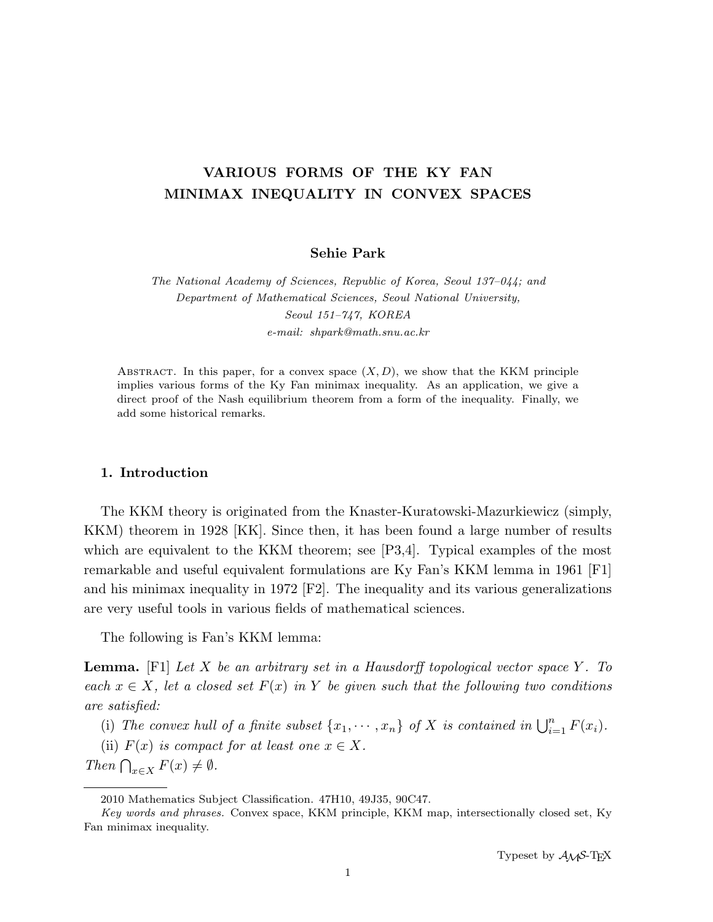# VARIOUS FORMS OF THE KY FAN MINIMAX INEQUALITY IN CONVEX SPACES

# Sehie Park

The National Academy of Sciences, Republic of Korea, Seoul 137–044; and Department of Mathematical Sciences, Seoul National University, Seoul 151–747, KOREA e-mail: shpark@math.snu.ac.kr

ABSTRACT. In this paper, for a convex space  $(X, D)$ , we show that the KKM principle implies various forms of the Ky Fan minimax inequality. As an application, we give a direct proof of the Nash equilibrium theorem from a form of the inequality. Finally, we add some historical remarks.

# 1. Introduction

The KKM theory is originated from the Knaster-Kuratowski-Mazurkiewicz (simply, KKM) theorem in 1928 [KK]. Since then, it has been found a large number of results which are equivalent to the KKM theorem; see [P3,4]. Typical examples of the most remarkable and useful equivalent formulations are Ky Fan's KKM lemma in 1961 [F1] and his minimax inequality in 1972  $[Fe]$ . The inequality and its various generalizations are very useful tools in various fields of mathematical sciences.

The following is Fan's KKM lemma:

**Lemma.** [F1] Let X be an arbitrary set in a Hausdorff topological vector space Y. To each  $x \in X$ , let a closed set  $F(x)$  in Y be given such that the following two conditions are satisfied:

(i) The convex hull of a finite subset  $\{x_1, \dots, x_n\}$  of X is contained in  $\bigcup_{i=1}^n F(x_i)$ .

(ii)  $F(x)$  is compact for at least one  $x \in X$ .

Then  $\bigcap_{x\in X} F(x) \neq \emptyset$ .

<sup>2010</sup> Mathematics Subject Classification. 47H10, 49J35, 90C47.

Key words and phrases. Convex space, KKM principle, KKM map, intersectionally closed set, Ky Fan minimax inequality.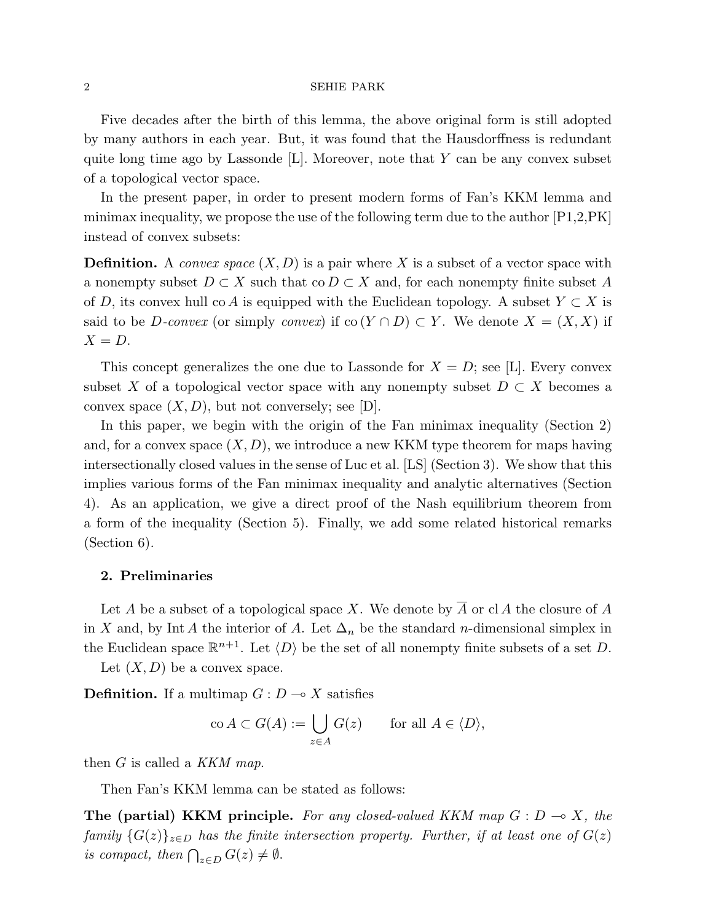Five decades after the birth of this lemma, the above original form is still adopted by many authors in each year. But, it was found that the Hausdorffness is redundant quite long time ago by Lassonde  $[L]$ . Moreover, note that Y can be any convex subset of a topological vector space.

In the present paper, in order to present modern forms of Fan's KKM lemma and minimax inequality, we propose the use of the following term due to the author  $[P1,2,\tilde{PK}]$ instead of convex subsets:

**Definition.** A convex space  $(X, D)$  is a pair where X is a subset of a vector space with a nonempty subset  $D \subset X$  such that  $\text{co } D \subset X$  and, for each nonempty finite subset A of D, its convex hull co A is equipped with the Euclidean topology. A subset  $Y \subset X$  is said to be *D-convex* (or simply *convex*) if  $\text{co}(Y \cap D) \subset Y$ . We denote  $X = (X, X)$  if  $X = D$ .

This concept generalizes the one due to Lassonde for  $X = D$ ; see [L]. Every convex subset X of a topological vector space with any nonempty subset  $D \subset X$  becomes a convex space  $(X, D)$ , but not conversely; see [D].

In this paper, we begin with the origin of the Fan minimax inequality (Section 2) and, for a convex space  $(X, D)$ , we introduce a new KKM type theorem for maps having intersectionally closed values in the sense of Luc et al. [LS] (Section 3). We show that this implies various forms of the Fan minimax inequality and analytic alternatives (Section 4). As an application, we give a direct proof of the Nash equilibrium theorem from a form of the inequality (Section 5). Finally, we add some related historical remarks (Section 6).

# 2. Preliminaries

Let A be a subset of a topological space X. We denote by A or  $cl A$  the closure of A in X and, by Int A the interior of A. Let  $\Delta_n$  be the standard n-dimensional simplex in the Euclidean space  $\mathbb{R}^{n+1}$ . Let  $\langle D \rangle$  be the set of all nonempty finite subsets of a set D.

Let  $(X, D)$  be a convex space.

**Definition.** If a multimap  $G: D \to X$  satisfies

$$
\operatorname{co} A \subset G(A) := \bigcup_{z \in A} G(z) \quad \text{for all } A \in \langle D \rangle,
$$

then  $G$  is called a  $KKM$  map.

Then Fan's KKM lemma can be stated as follows:

The (partial) KKM principle. For any closed-valued KKM map  $G: D \to X$ , the family  $\{G(z)\}_{z\in D}$  has the finite intersection property. Further, if at least one of  $G(z)$ is compact, then  $\bigcap_{z\in D} G(z) \neq \emptyset$ .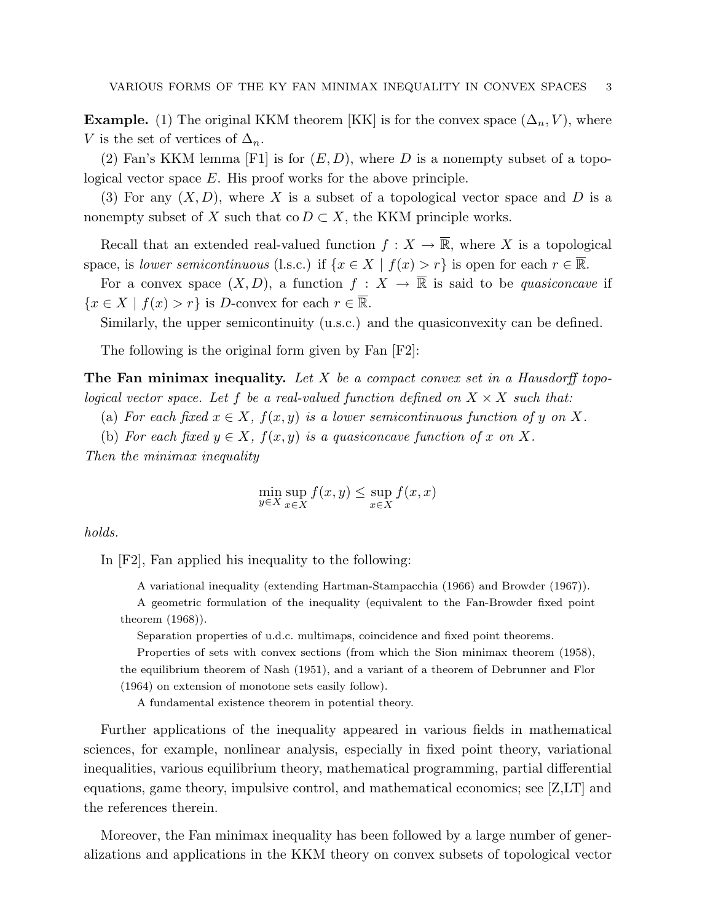**Example.** (1) The original KKM theorem |KK| is for the convex space  $(\Delta_n, V)$ , where V is the set of vertices of  $\Delta_n$ .

(2) Fan's KKM lemma [F1] is for  $(E, D)$ , where D is a nonempty subset of a topological vector space E. His proof works for the above principle.

(3) For any  $(X, D)$ , where X is a subset of a topological vector space and D is a nonempty subset of X such that co  $D \subset X$ , the KKM principle works.

Recall that an extended real-valued function  $f: X \to \overline{\mathbb{R}}$ , where X is a topological space, is lower semicontinuous (l.s.c.) if  $\{x \in X \mid f(x) > r\}$  is open for each  $r \in \overline{\mathbb{R}}$ .

For a convex space  $(X, D)$ , a function  $f : X \to \overline{\mathbb{R}}$  is said to be *quasiconcave* if  ${x \in X \mid f(x) > r}$  is D-convex for each  $r \in \overline{\mathbb{R}}$ .

Similarly, the upper semicontinuity (u.s.c.) and the quasiconvexity can be defined.

The following is the original form given by Fan [F2]:

The Fan minimax inequality. Let X be a compact convex set in a Hausdorff topological vector space. Let f be a real-valued function defined on  $X \times X$  such that:

(a) For each fixed  $x \in X$ ,  $f(x, y)$  is a lower semicontinuous function of y on X.

(b) For each fixed  $y \in X$ ,  $f(x, y)$  is a quasiconcave function of x on X.

Then the minimax inequality

$$
\min_{y \in X} \sup_{x \in X} f(x, y) \le \sup_{x \in X} f(x, x)
$$

holds.

In [F2], Fan applied his inequality to the following:

A variational inequality (extending Hartman-Stampacchia (1966) and Browder (1967)).

A geometric formulation of the inequality (equivalent to the Fan-Browder fixed point theorem (1968)).

Separation properties of u.d.c. multimaps, coincidence and fixed point theorems.

Properties of sets with convex sections (from which the Sion minimax theorem (1958), the equilibrium theorem of Nash (1951), and a variant of a theorem of Debrunner and Flor (1964) on extension of monotone sets easily follow).

A fundamental existence theorem in potential theory.

Further applications of the inequality appeared in various fields in mathematical sciences, for example, nonlinear analysis, especially in fixed point theory, variational inequalities, various equilibrium theory, mathematical programming, partial differential equations, game theory, impulsive control, and mathematical economics; see [Z,LT] and the references therein.

Moreover, the Fan minimax inequality has been followed by a large number of generalizations and applications in the KKM theory on convex subsets of topological vector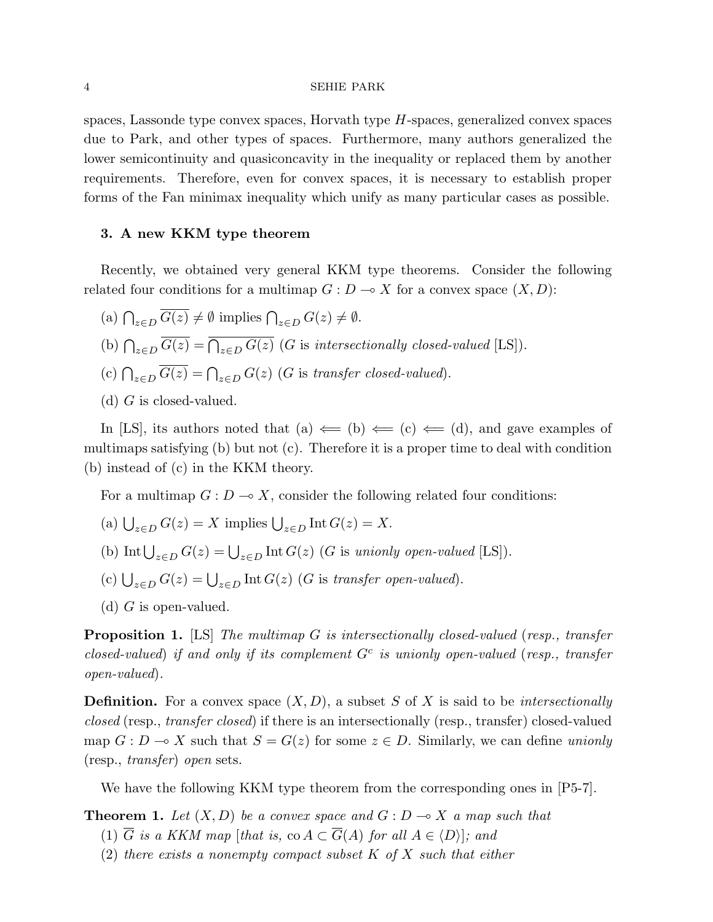spaces, Lassonde type convex spaces, Horvath type  $H$ -spaces, generalized convex spaces due to Park, and other types of spaces. Furthermore, many authors generalized the lower semicontinuity and quasiconcavity in the inequality or replaced them by another requirements. Therefore, even for convex spaces, it is necessary to establish proper forms of the Fan minimax inequality which unify as many particular cases as possible.

# 3. A new KKM type theorem

Recently, we obtained very general KKM type theorems. Consider the following related four conditions for a multimap  $G: D \to X$  for a convex space  $(X, D)$ :

- (a)  $\bigcap_{z \in D} \overline{G(z)} \neq \emptyset$  implies  $\bigcap_{z \in D} G(z) \neq \emptyset$ .
- (b)  $\bigcap_{z \in D} \overline{G(z)} = \overline{\bigcap_{z \in D} G(z)}$  (G is intersectionally closed-valued [LS]).
- (c)  $\bigcap_{z \in D} \overline{G(z)} = \bigcap_{z \in D} G(z)$  (G is transfer closed-valued).
- (d)  $G$  is closed-valued.

In [LS], its authors noted that (a)  $\Leftarrow$  (b)  $\Leftarrow$  (c)  $\Leftarrow$  (d), and gave examples of multimaps satisfying (b) but not (c). Therefore it is a proper time to deal with condition (b) instead of (c) in the KKM theory.

For a multimap  $G: D \to X$ , consider the following related four conditions:

- (a)  $\bigcup_{z \in D} G(z) = X$  implies  $\bigcup_{z \in D} \text{Int } G(z) = X$ .
- (b) Int  $\bigcup_{z \in D} G(z) = \bigcup_{z \in D} \text{Int } G(z)$  (G is unionly open-valued [LS]).
- (c)  $\bigcup_{z \in D} G(z) = \bigcup_{z \in D} \text{Int } G(z)$  (G is transfer open-valued).
- (d)  $G$  is open-valued.

**Proposition 1.** [LS] The multimap G is intersectionally closed-valued (resp., transfer closed-valued) if and only if its complement  $G<sup>c</sup>$  is unionly open-valued (resp., transfer open-valued).

**Definition.** For a convex space  $(X, D)$ , a subset S of X is said to be *intersectionally* closed (resp., transfer closed) if there is an intersectionally (resp., transfer) closed-valued map  $G : D \to X$  such that  $S = G(z)$  for some  $z \in D$ . Similarly, we can define unionly (resp., transfer) open sets.

We have the following KKM type theorem from the corresponding ones in [P5-7].

**Theorem 1.** Let  $(X, D)$  be a convex space and  $G : D \to X$  a map such that

- (1)  $\overline{G}$  is a KKM map [that is, co  $A \subset \overline{G}(A)$  for all  $A \in \langle D \rangle$ ]; and
- (2) there exists a nonempty compact subset  $K$  of  $X$  such that either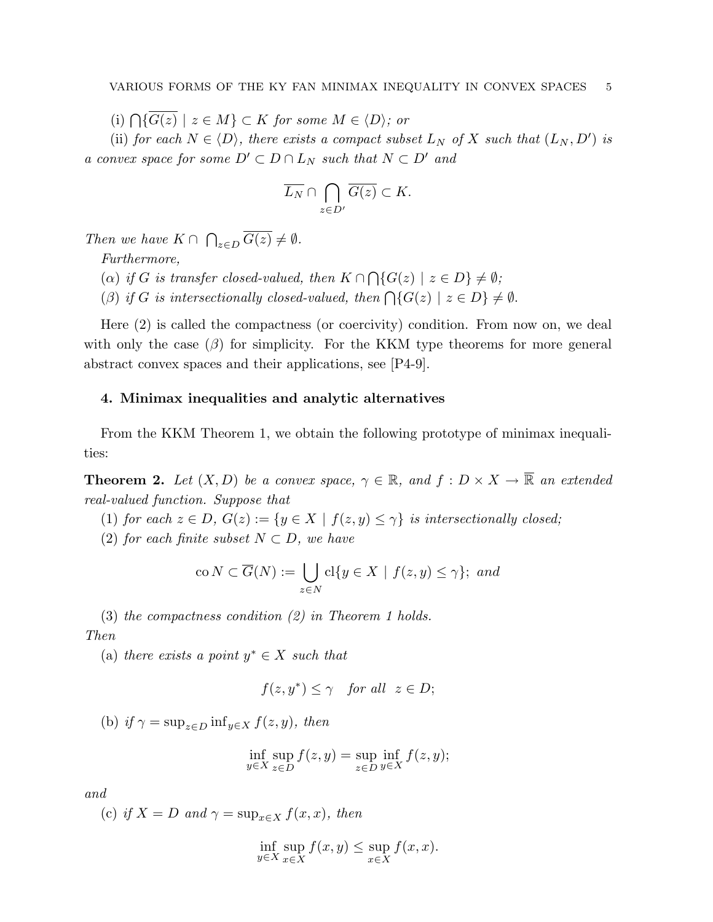(i)  $\bigcap \{\overline{G(z)} \mid z \in M\} \subset K$  for some  $M \in \langle D \rangle$ ; or

(ii) for each  $N \in \langle D \rangle$ , there exists a compact subset  $L_N$  of X such that  $(L_N, D')$  is a convex space for some  $D' \subset D \cap L_N$  such that  $N \subset D'$  and

$$
\overline{L_N} \cap \bigcap_{z \in D'} \overline{G(z)} \subset K.
$$

Then we have  $K \cap$  $\overline{a}$  $_{z\in D} G(z)\neq \emptyset$ .

Furthermore,

 $(\alpha)$  if G is transfer closed-valued, then  $K \cap$  $\overline{a}$  $\{G(z) \mid z \in D\} \neq \emptyset;$ 

(β) if G is intersectionally closed-valued, then  $\bigcap \{G(z) \mid z \in D\} \neq \emptyset$ .

Here (2) is called the compactness (or coercivity) condition. From now on, we deal with only the case  $(\beta)$  for simplicity. For the KKM type theorems for more general abstract convex spaces and their applications, see [P4-9].

# 4. Minimax inequalities and analytic alternatives

From the KKM Theorem 1, we obtain the following prototype of minimax inequalities:

**Theorem 2.** Let  $(X, D)$  be a convex space,  $\gamma \in \mathbb{R}$ , and  $f : D \times X \to \overline{\mathbb{R}}$  an extended real-valued function. Suppose that

- (1) for each  $z \in D$ ,  $G(z) := \{y \in X \mid f(z, y) \leq \gamma\}$  is intersectionally closed;
- (2) for each finite subset  $N \subset D$ , we have

$$
\text{co } N \subset \overline{G}(N) := \bigcup_{z \in N} \text{cl}\{y \in X \mid f(z, y) \le \gamma\}; \text{ and}
$$

(3) the compactness condition (2) in Theorem 1 holds. Then

(a) there exists a point  $y^* \in X$  such that

$$
f(z, y^*) \le \gamma \quad \text{for all} \ \ z \in D;
$$

(b) if  $\gamma = \sup_{z \in D} \inf_{y \in X} f(z, y)$ , then

$$
\inf_{y \in X} \sup_{z \in D} f(z, y) = \sup_{z \in D} \inf_{y \in X} f(z, y);
$$

and

(c) if  $X = D$  and  $\gamma = \sup_{x \in X} f(x, x)$ , then

$$
\inf_{y \in X} \sup_{x \in X} f(x, y) \le \sup_{x \in X} f(x, x).
$$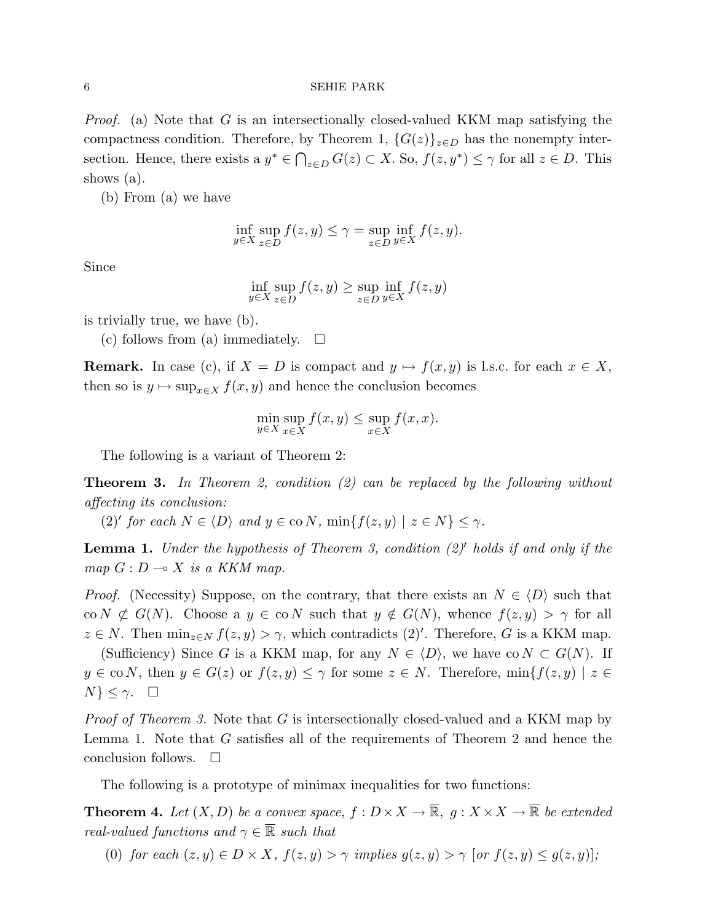*Proof.* (a) Note that G is an intersectionally closed-valued KKM map satisfying the compactness condition. Therefore, by Theorem 1,  ${G(z)}_{z\in D}$  has the nonempty intersection. Hence, there exists a  $y^* \in \bigcap_{z \in D} G(z) \subset X$ . So,  $f(z, y^*) \leq \gamma$  for all  $z \in D$ . This shows (a).

(b) From (a) we have

$$
\inf_{y \in X} \sup_{z \in D} f(z, y) \le \gamma = \sup_{z \in D} \inf_{y \in X} f(z, y).
$$

Since

$$
\inf_{y \in X} \sup_{z \in D} f(z, y) \ge \sup_{z \in D} \inf_{y \in X} f(z, y)
$$

is trivially true, we have (b).

(c) follows from (a) immediately.  $\square$ 

**Remark.** In case (c), if  $X = D$  is compact and  $y \mapsto f(x, y)$  is l.s.c. for each  $x \in X$ , then so is  $y \mapsto \sup_{x \in X} f(x, y)$  and hence the conclusion becomes

$$
\min_{y \in X} \sup_{x \in X} f(x, y) \le \sup_{x \in X} f(x, x).
$$

The following is a variant of Theorem 2:

**Theorem 3.** In Theorem 2, condition  $(2)$  can be replaced by the following without affecting its conclusion:

(2)' for each  $N \in \langle D \rangle$  and  $y \in \infty N$ ,  $\min\{f(z, y) \mid z \in N\} \leq \gamma$ .

**Lemma 1.** Under the hypothesis of Theorem 3, condition  $(2)$ <sup>'</sup> holds if and only if the map  $G: D \longrightarrow X$  is a KKM map.

*Proof.* (Necessity) Suppose, on the contrary, that there exists an  $N \in \langle D \rangle$  such that co  $N \not\subset G(N)$ . Choose a  $y \in \text{co } N$  such that  $y \notin G(N)$ , whence  $f(z, y) > \gamma$  for all  $z \in N$ . Then  $\min_{z \in N} f(z, y) > \gamma$ , which contradicts  $(2)$ '. Therefore, G is a KKM map.

(Sufficiency) Since G is a KKM map, for any  $N \in \langle D \rangle$ , we have co  $N \subset G(N)$ . If  $y \in \text{co } N$ , then  $y \in G(z)$  or  $f(z, y) \leq \gamma$  for some  $z \in N$ . Therefore,  $\min\{f(z, y) \mid z \in$  $N\}\leq \gamma$ .  $\Box$ 

Proof of Theorem 3. Note that G is intersectionally closed-valued and a KKM map by Lemma 1. Note that G satisfies all of the requirements of Theorem 2 and hence the conclusion follows.  $\square$ 

The following is a prototype of minimax inequalities for two functions:

**Theorem 4.** Let  $(X, D)$  be a convex space,  $f : D \times X \to \overline{\mathbb{R}}$ ,  $g : X \times X \to \overline{\mathbb{R}}$  be extended real-valued functions and  $\gamma \in \mathbb{R}$  such that

(0) for each  $(z, y) \in D \times X$ ,  $f(z, y) > \gamma$  implies  $g(z, y) > \gamma$  [or  $f(z, y) \le g(z, y)$ ];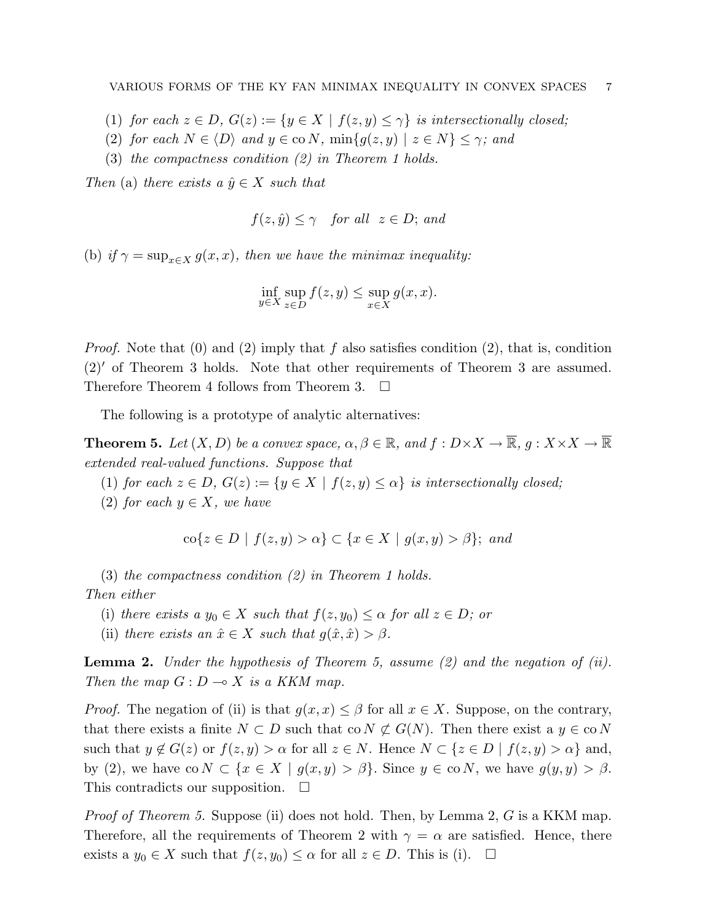- (1) for each  $z \in D$ ,  $G(z) := \{y \in X \mid f(z, y) \leq \gamma\}$  is intersectionally closed;
- (2) for each  $N \in \langle D \rangle$  and  $y \in \text{co } N$ ,  $\min\{g(z, y) \mid z \in N\} \leq \gamma$ ; and
- (3) the compactness condition (2) in Theorem 1 holds.

Then (a) there exists a  $\hat{y} \in X$  such that

$$
f(z, \hat{y}) \le \gamma \quad \text{for all} \quad z \in D; \text{ and}
$$

(b) if  $\gamma = \sup_{x \in X} g(x, x)$ , then we have the minimax inequality:

$$
\inf_{y \in X} \sup_{z \in D} f(z, y) \le \sup_{x \in X} g(x, x).
$$

*Proof.* Note that (0) and (2) imply that f also satisfies condition (2), that is, condition  $(2)'$  of Theorem 3 holds. Note that other requirements of Theorem 3 are assumed. Therefore Theorem 4 follows from Theorem 3.  $\Box$ 

The following is a prototype of analytic alternatives:

**Theorem 5.** Let  $(X, D)$  be a convex space,  $\alpha, \beta \in \mathbb{R}$ , and  $f: D \times X \to \overline{\mathbb{R}}$ ,  $g: X \times X \to \overline{\mathbb{R}}$ extended real-valued functions. Suppose that

(1) for each  $z \in D$ ,  $G(z) := \{y \in X \mid f(z, y) \leq \alpha\}$  is intersectionally closed;

(2) for each  $y \in X$ , we have

$$
\text{co}\{z \in D \mid f(z,y) > \alpha\} \subset \{x \in X \mid g(x,y) > \beta\}; \text{ and}
$$

(3) the compactness condition (2) in Theorem 1 holds. Then either

- (i) there exists a  $y_0 \in X$  such that  $f(z, y_0) \leq \alpha$  for all  $z \in D$ ; or
- (ii) there exists an  $\hat{x} \in X$  such that  $g(\hat{x}, \hat{x}) > \beta$ .

**Lemma 2.** Under the hypothesis of Theorem 5, assume  $(2)$  and the negation of  $(ii)$ . Then the map  $G: D \longrightarrow X$  is a KKM map.

*Proof.* The negation of (ii) is that  $g(x, x) \leq \beta$  for all  $x \in X$ . Suppose, on the contrary, that there exists a finite  $N \subset D$  such that co  $N \not\subset G(N)$ . Then there exist a  $y \in \text{co } N$ such that  $y \notin G(z)$  or  $f(z, y) > \alpha$  for all  $z \in N$ . Hence  $N \subset \{z \in D \mid f(z, y) > \alpha\}$  and, by (2), we have  $\text{co } N \subset \{x \in X \mid g(x, y) > \beta\}$ . Since  $y \in \text{co } N$ , we have  $g(y, y) > \beta$ . This contradicts our supposition.  $\Box$ 

Proof of Theorem 5. Suppose (ii) does not hold. Then, by Lemma 2, G is a KKM map. Therefore, all the requirements of Theorem 2 with  $\gamma = \alpha$  are satisfied. Hence, there exists a  $y_0 \in X$  such that  $f(z, y_0) \leq \alpha$  for all  $z \in D$ . This is (i).  $\Box$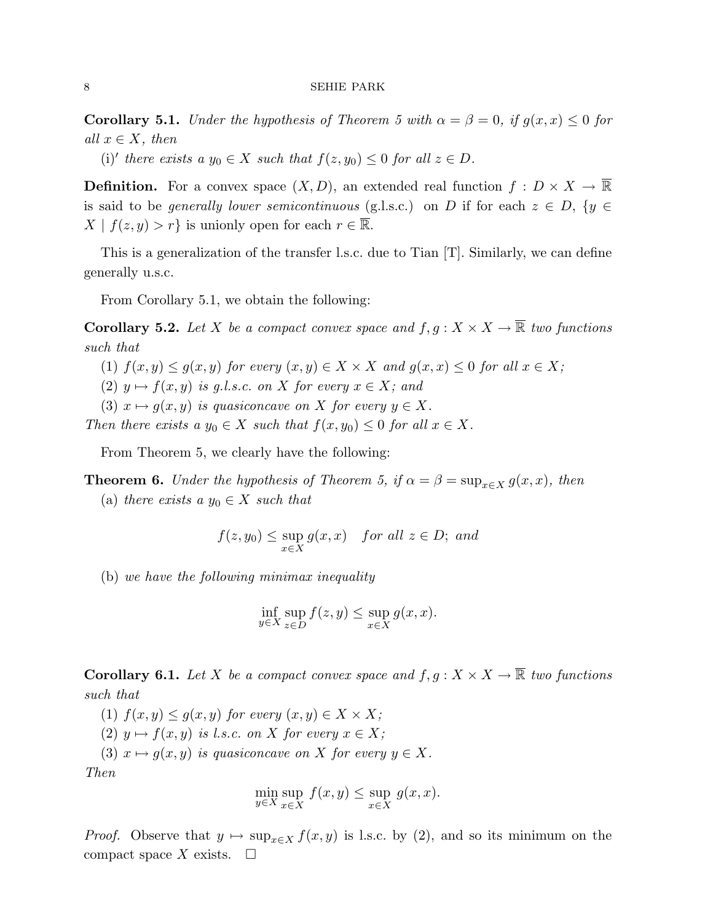**Corollary 5.1.** Under the hypothesis of Theorem 5 with  $\alpha = \beta = 0$ , if  $g(x, x) \leq 0$  for all  $x \in X$ , then

(i)' there exists a  $y_0 \in X$  such that  $f(z, y_0) \leq 0$  for all  $z \in D$ .

**Definition.** For a convex space  $(X, D)$ , an extended real function  $f : D \times X \to \mathbb{R}$ is said to be generally lower semicontinuous (g.l.s.c.) on D if for each  $z \in D$ ,  $\{y \in$  $X | f(z, y) > r$  is unionly open for each  $r \in \overline{\mathbb{R}}$ .

This is a generalization of the transfer l.s.c. due to Tian [T]. Similarly, we can define generally u.s.c.

From Corollary 5.1, we obtain the following:

**Corollary 5.2.** Let X be a compact convex space and  $f, g: X \times X \to \overline{\mathbb{R}}$  two functions such that

- (1)  $f(x, y) \le g(x, y)$  for every  $(x, y) \in X \times X$  and  $g(x, x) \le 0$  for all  $x \in X$ ;
- (2)  $y \mapsto f(x, y)$  is g.l.s.c. on X for every  $x \in X$ ; and
- (3)  $x \mapsto g(x, y)$  is quasiconcave on X for every  $y \in X$ .

Then there exists a  $y_0 \in X$  such that  $f(x, y_0) \leq 0$  for all  $x \in X$ .

From Theorem 5, we clearly have the following:

**Theorem 6.** Under the hypothesis of Theorem 5, if  $\alpha = \beta = \sup_{x \in X} g(x, x)$ , then

(a) there exists a  $y_0 \in X$  such that

$$
f(z,y_0) \le \sup_{x \in X} g(x,x) \quad \text{for all } z \in D; \text{ and}
$$

(b) we have the following minimax inequality

$$
\inf_{y \in X} \sup_{z \in D} f(z, y) \le \sup_{x \in X} g(x, x).
$$

**Corollary 6.1.** Let X be a compact convex space and  $f, g: X \times X \to \overline{\mathbb{R}}$  two functions such that

(1)  $f(x, y) \le g(x, y)$  for every  $(x, y) \in X \times X$ ;

(2)  $y \mapsto f(x, y)$  is l.s.c. on X for every  $x \in X$ ;

(3)  $x \mapsto g(x, y)$  is quasiconcave on X for every  $y \in X$ . Then

$$
\min_{y \in X} \sup_{x \in X} f(x, y) \le \sup_{x \in X} g(x, x).
$$

*Proof.* Observe that  $y \mapsto \sup_{x \in X} f(x, y)$  is l.s.c. by (2), and so its minimum on the compact space X exists.  $\square$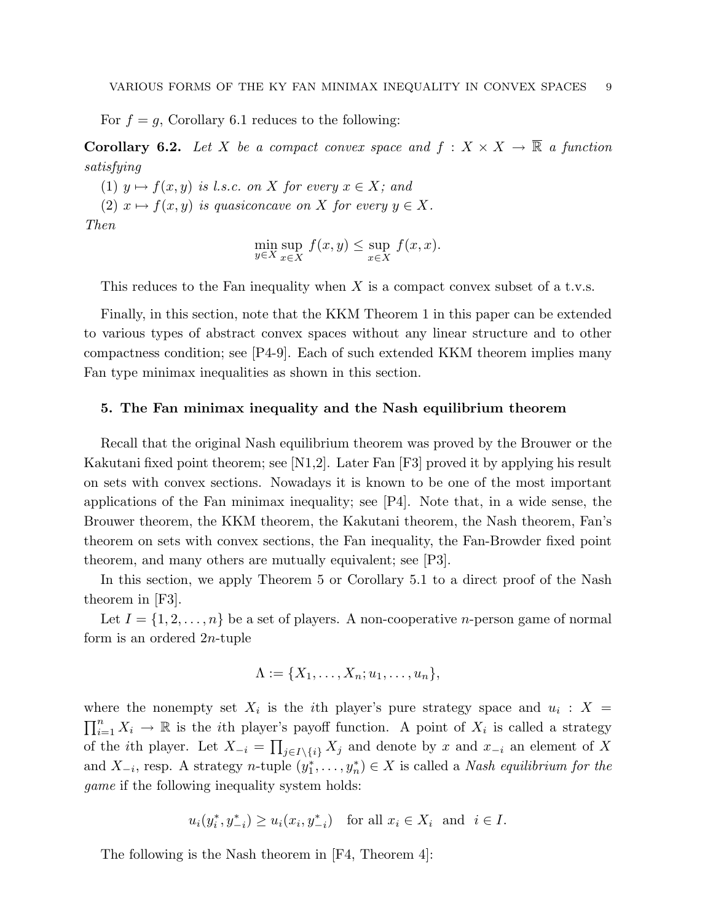For  $f = g$ , Corollary 6.1 reduces to the following:

**Corollary 6.2.** Let X be a compact convex space and  $f : X \times X \to \overline{\mathbb{R}}$  a function satisfying

(1)  $y \mapsto f(x, y)$  is l.s.c. on X for every  $x \in X$ ; and

(2)  $x \mapsto f(x, y)$  is quasiconcave on X for every  $y \in X$ .

Then

$$
\min_{y \in X} \sup_{x \in X} f(x, y) \le \sup_{x \in X} f(x, x).
$$

This reduces to the Fan inequality when  $X$  is a compact convex subset of a t.v.s.

Finally, in this section, note that the KKM Theorem 1 in this paper can be extended to various types of abstract convex spaces without any linear structure and to other compactness condition; see [P4-9]. Each of such extended KKM theorem implies many Fan type minimax inequalities as shown in this section.

## 5. The Fan minimax inequality and the Nash equilibrium theorem

Recall that the original Nash equilibrium theorem was proved by the Brouwer or the Kakutani fixed point theorem; see [N1,2]. Later Fan [F3] proved it by applying his result on sets with convex sections. Nowadays it is known to be one of the most important applications of the Fan minimax inequality; see [P4]. Note that, in a wide sense, the Brouwer theorem, the KKM theorem, the Kakutani theorem, the Nash theorem, Fan's theorem on sets with convex sections, the Fan inequality, the Fan-Browder fixed point theorem, and many others are mutually equivalent; see [P3].

In this section, we apply Theorem 5 or Corollary 5.1 to a direct proof of the Nash theorem in [F3].

Let  $I = \{1, 2, \ldots, n\}$  be a set of players. A non-cooperative *n*-person game of normal form is an ordered 2n-tuple

$$
\Lambda := \{X_1, \ldots, X_n; u_1, \ldots, u_n\},\
$$

where the nonempty set  $X_i$  is the *i*th player's pure strategy space and  $u_i : X =$  $\frac{1}{\sqrt{1}}$  $i=1 \ X_i \to \mathbb{R}$  is the *i*th player's payoff function. A point of  $X_i$  is called a strategy of the *i*th player. Let  $X_{-i} = \prod_{j \in I \setminus \{i\}} X_j$  and denote by x and  $x_{-i}$  an element of X and  $X_{-i}$ , resp. A strategy n-tuple  $(y_1^*, \ldots, y_n^*) \in X$  is called a Nash equilibrium for the game if the following inequality system holds:

$$
u_i(y_i^*, y_{-i}^*) \ge u_i(x_i, y_{-i}^*) \quad \text{for all } x_i \in X_i \text{ and } i \in I.
$$

The following is the Nash theorem in [F4, Theorem 4]: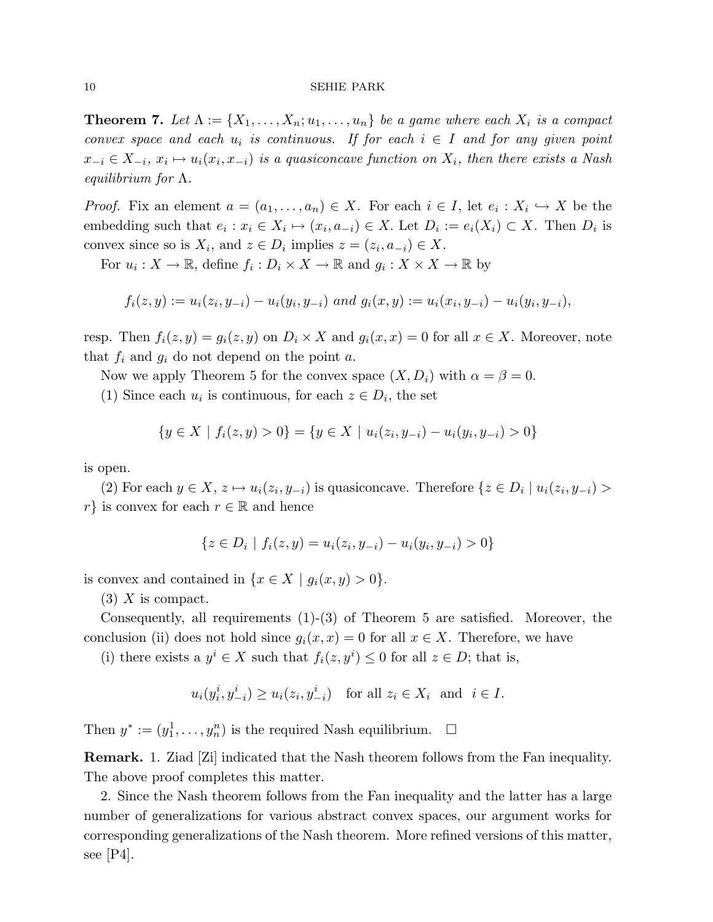**Theorem 7.** Let  $\Lambda := \{X_1, \ldots, X_n; u_1, \ldots, u_n\}$  be a game where each  $X_i$  is a compact convex space and each  $u_i$  is continuous. If for each  $i \in I$  and for any given point  $x_{-i} \in X_{-i}, x_i \mapsto u_i(x_i, x_{-i})$  is a quasiconcave function on  $X_i$ , then there exists a Nash equilibrium for  $\Lambda$ .

*Proof.* Fix an element  $a = (a_1, \ldots, a_n) \in X$ . For each  $i \in I$ , let  $e_i : X_i \hookrightarrow X$  be the embedding such that  $e_i : x_i \in X_i \mapsto (x_i, a_{-i}) \in X$ . Let  $D_i := e_i(X_i) \subset X$ . Then  $D_i$  is convex since so is  $X_i$ , and  $z \in D_i$  implies  $z = (z_i, a_{-i}) \in X$ .

For  $u_i: X \to \mathbb{R}$ , define  $f_i: D_i \times X \to \mathbb{R}$  and  $g_i: X \times X \to \mathbb{R}$  by

$$
f_i(z, y) := u_i(z_i, y_{-i}) - u_i(y_i, y_{-i})
$$
 and  $g_i(x, y) := u_i(x_i, y_{-i}) - u_i(y_i, y_{-i}),$ 

resp. Then  $f_i(z, y) = g_i(z, y)$  on  $D_i \times X$  and  $g_i(x, x) = 0$  for all  $x \in X$ . Moreover, note that  $f_i$  and  $g_i$  do not depend on the point  $a$ .

Now we apply Theorem 5 for the convex space  $(X, D_i)$  with  $\alpha = \beta = 0$ .

(1) Since each  $u_i$  is continuous, for each  $z \in D_i$ , the set

$$
\{y \in X \mid f_i(z, y) > 0\} = \{y \in X \mid u_i(z_i, y_{-i}) - u_i(y_i, y_{-i}) > 0\}
$$

is open.

(2) For each  $y \in X$ ,  $z \mapsto u_i(z_i, y_{-i})$  is quasiconcave. Therefore  $\{z \in D_i \mid u_i(z_i, y_{-i}) >$ r} is convex for each  $r \in \mathbb{R}$  and hence

$$
\{z \in D_i \mid f_i(z, y) = u_i(z_i, y_{-i}) - u_i(y_i, y_{-i}) > 0\}
$$

is convex and contained in  $\{x \in X \mid g_i(x, y) > 0\}.$ 

 $(3)$  X is compact.

Consequently, all requirements (1)-(3) of Theorem 5 are satisfied. Moreover, the conclusion (ii) does not hold since  $g_i(x, x) = 0$  for all  $x \in X$ . Therefore, we have

(i) there exists a  $y^i \in X$  such that  $f_i(z, y^i) \leq 0$  for all  $z \in D$ ; that is,

$$
u_i(y_i^i, y_{-i}^i) \ge u_i(z_i, y_{-i}^i) \quad \text{for all } z_i \in X_i \text{ and } i \in I.
$$

Then  $y^* := (y_1^1, \ldots, y_n^n)$  is the required Nash equilibrium.  $\Box$ 

Remark. 1. Ziad [Zi] indicated that the Nash theorem follows from the Fan inequality. The above proof completes this matter.

2. Since the Nash theorem follows from the Fan inequality and the latter has a large number of generalizations for various abstract convex spaces, our argument works for corresponding generalizations of the Nash theorem. More refined versions of this matter, see  $|P4|$ .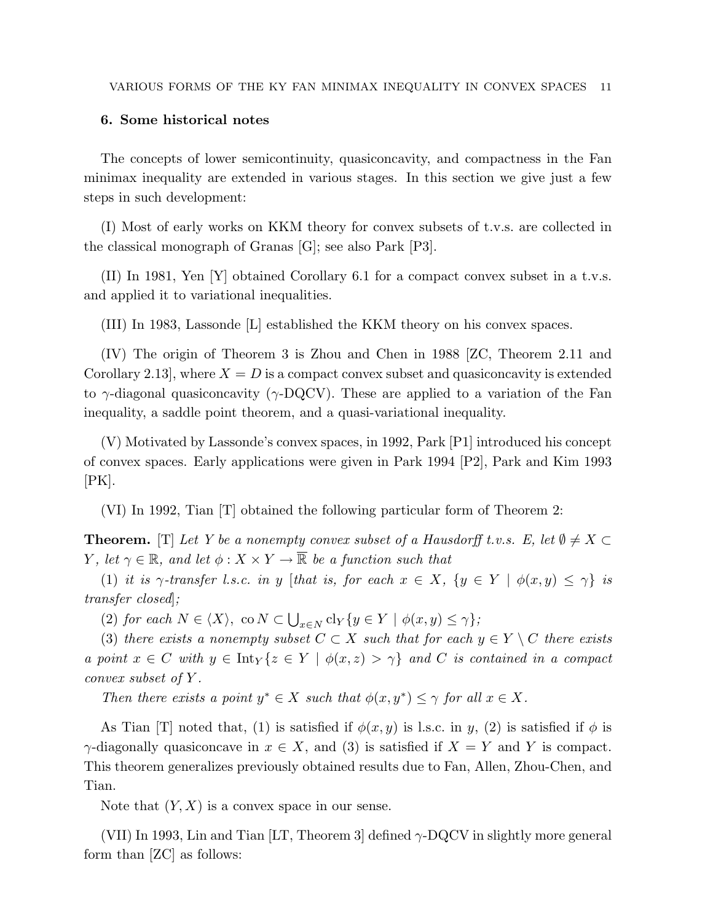# 6. Some historical notes

The concepts of lower semicontinuity, quasiconcavity, and compactness in the Fan minimax inequality are extended in various stages. In this section we give just a few steps in such development:

(I) Most of early works on KKM theory for convex subsets of t.v.s. are collected in the classical monograph of Granas [G]; see also Park [P3].

(II) In 1981, Yen [Y] obtained Corollary 6.1 for a compact convex subset in a t.v.s. and applied it to variational inequalities.

(III) In 1983, Lassonde [L] established the KKM theory on his convex spaces.

(IV) The origin of Theorem 3 is Zhou and Chen in 1988 [ZC, Theorem 2.11 and Corollary 2.13, where  $X = D$  is a compact convex subset and quasiconcavity is extended to  $\gamma$ -diagonal quasiconcavity ( $\gamma$ -DQCV). These are applied to a variation of the Fan inequality, a saddle point theorem, and a quasi-variational inequality.

(V) Motivated by Lassonde's convex spaces, in 1992, Park [P1] introduced his concept of convex spaces. Early applications were given in Park 1994 [P2], Park and Kim 1993  $[PK].$ 

(VI) In 1992, Tian [T] obtained the following particular form of Theorem 2:

**Theorem.** [T] Let Y be a nonempty convex subset of a Hausdorff t.v.s. E, let  $\emptyset \neq X \subset$ Y, let  $\gamma \in \mathbb{R}$ , and let  $\phi: X \times Y \to \overline{\mathbb{R}}$  be a function such that

(1) it is  $\gamma$ -transfer l.s.c. in y [that is, for each  $x \in X$ ,  $\{y \in Y \mid \phi(x,y) \leq \gamma\}$  is transfer closed]; S

(2) for each  $N \in \langle X \rangle$ , co  $N \subset$  $_{x\in N}$  cl<sub>Y</sub>{ $y \in Y$  |  $\phi(x, y) \leq \gamma$ };

(3) there exists a nonempty subset  $C \subset X$  such that for each  $y \in Y \setminus C$  there exists a point  $x \in C$  with  $y \in \text{Int}_Y\{z \in Y \mid \phi(x, z) > \gamma\}$  and C is contained in a compact convex subset of Y .

Then there exists a point  $y^* \in X$  such that  $\phi(x, y^*) \leq \gamma$  for all  $x \in X$ .

As Tian [T] noted that, (1) is satisfied if  $\phi(x, y)$  is l.s.c. in y, (2) is satisfied if  $\phi$  is  $\gamma$ -diagonally quasiconcave in  $x \in X$ , and (3) is satisfied if  $X = Y$  and Y is compact. This theorem generalizes previously obtained results due to Fan, Allen, Zhou-Chen, and Tian.

Note that  $(Y, X)$  is a convex space in our sense.

(VII) In 1993, Lin and Tian [LT, Theorem 3] defined  $\gamma$ -DQCV in slightly more general form than [ZC] as follows: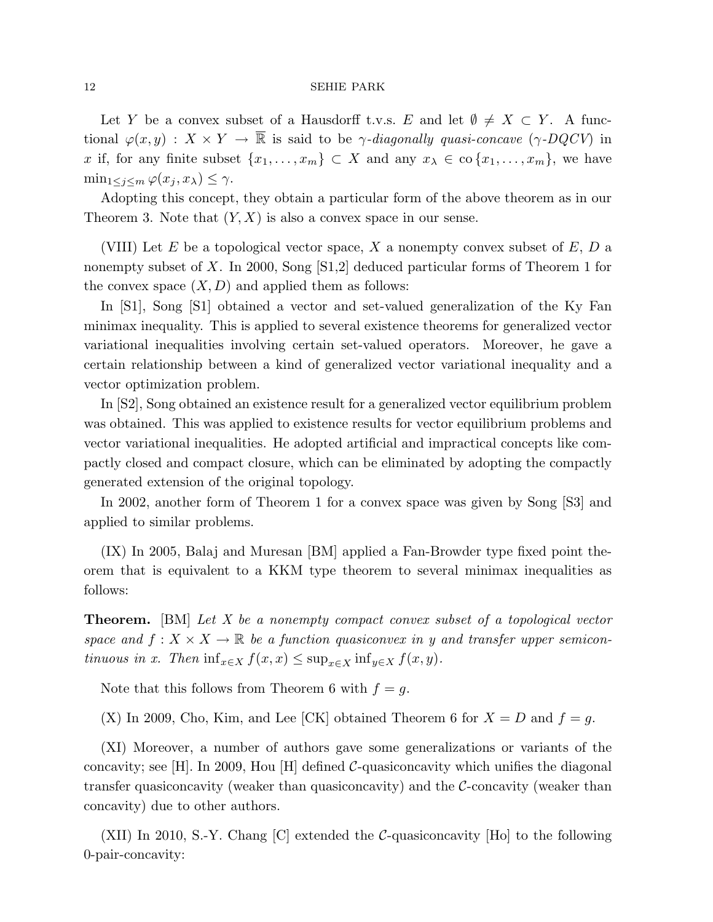Let Y be a convex subset of a Hausdorff t.v.s. E and let  $\emptyset \neq X \subset Y$ . A functional  $\varphi(x, y) : X \times Y \to \overline{\mathbb{R}}$  is said to be  $\gamma$ -diagonally quasi-concave ( $\gamma$ -DQCV) in x if, for any finite subset  $\{x_1, \ldots, x_m\} \subset X$  and any  $x_\lambda \in \text{co }\{x_1, \ldots, x_m\}$ , we have  $\min_{1 \leq j \leq m} \varphi(x_j, x_\lambda) \leq \gamma.$ 

Adopting this concept, they obtain a particular form of the above theorem as in our Theorem 3. Note that  $(Y, X)$  is also a convex space in our sense.

(VIII) Let E be a topological vector space, X a nonempty convex subset of  $E, D$  a nonempty subset of X. In 2000, Song [S1,2] deduced particular forms of Theorem 1 for the convex space  $(X, D)$  and applied them as follows:

In [S1], Song [S1] obtained a vector and set-valued generalization of the Ky Fan minimax inequality. This is applied to several existence theorems for generalized vector variational inequalities involving certain set-valued operators. Moreover, he gave a certain relationship between a kind of generalized vector variational inequality and a vector optimization problem.

In [S2], Song obtained an existence result for a generalized vector equilibrium problem was obtained. This was applied to existence results for vector equilibrium problems and vector variational inequalities. He adopted artificial and impractical concepts like compactly closed and compact closure, which can be eliminated by adopting the compactly generated extension of the original topology.

In 2002, another form of Theorem 1 for a convex space was given by Song [S3] and applied to similar problems.

(IX) In 2005, Balaj and Muresan [BM] applied a Fan-Browder type fixed point theorem that is equivalent to a KKM type theorem to several minimax inequalities as follows:

Theorem. [BM] Let X be a nonempty compact convex subset of a topological vector space and  $f: X \times X \to \mathbb{R}$  be a function quasiconvex in y and transfer upper semicontinuous in x. Then  $\inf_{x \in X} f(x, x) \le \sup_{x \in X} \inf_{y \in X} f(x, y)$ .

Note that this follows from Theorem 6 with  $f = q$ .

(X) In 2009, Cho, Kim, and Lee [CK] obtained Theorem 6 for  $X = D$  and  $f = g$ .

(XI) Moreover, a number of authors gave some generalizations or variants of the concavity; see [H]. In 2009, Hou [H] defined  $C$ -quasiconcavity which unifies the diagonal transfer quasiconcavity (weaker than quasiconcavity) and the C-concavity (weaker than concavity) due to other authors.

(XII) In 2010, S.-Y. Chang [C] extended the C-quasiconcavity [Ho] to the following 0-pair-concavity: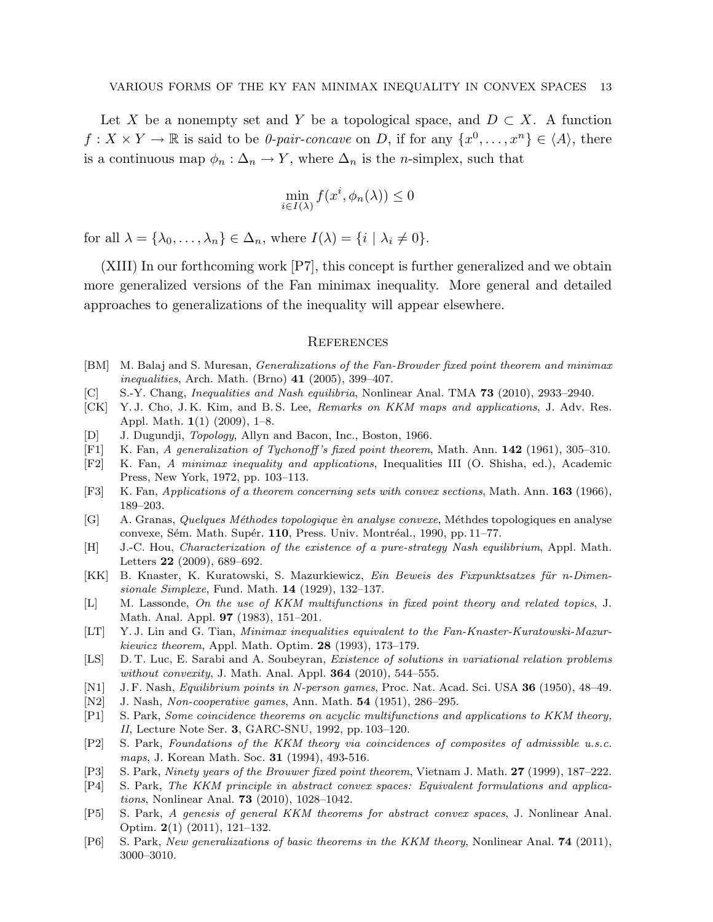Let X be a nonempty set and Y be a topological space, and  $D \subset X$ . A function  $f: X \times Y \to \mathbb{R}$  is said to be *0-pair-concave* on *D*, if for any  $\{x^0, \ldots, x^n\} \in \langle A \rangle$ , there is a continuous map  $\phi_n : \Delta_n \to Y$ , where  $\Delta_n$  is the *n*-simplex, such that

$$
\min_{i \in I(\lambda)} f(x^i, \phi_n(\lambda)) \le 0
$$

for all  $\lambda = {\lambda_0, \ldots, \lambda_n} \in \Delta_n$ , where  $I(\lambda) = {i | \lambda_i \neq 0}.$ 

(XIII) In our forthcoming work [P7], this concept is further generalized and we obtain more generalized versions of the Fan minimax inequality. More general and detailed approaches to generalizations of the inequality will appear elsewhere.

## **REFERENCES**

- [BM] M. Balaj and S. Muresan, Generalizations of the Fan-Browder fixed point theorem and minimax *inequalities*, Arch. Math. (Brno)  $41$  (2005), 399–407.
- [C] S.-Y. Chang, Inequalities and Nash equilibria, Nonlinear Anal. TMA 73 (2010), 2933–2940.
- [CK] Y. J. Cho, J. K. Kim, and B. S. Lee, Remarks on KKM maps and applications, J. Adv. Res. Appl. Math. 1(1) (2009), 1–8.
- [D] J. Dugundji, Topology, Allyn and Bacon, Inc., Boston, 1966.
- [F1] K. Fan, A generalization of Tychonoff 's fixed point theorem, Math. Ann. 142 (1961), 305–310.
- [F2] K. Fan, A minimax inequality and applications, Inequalities III (O. Shisha, ed.), Academic Press, New York, 1972, pp. 103–113.
- [F3] K. Fan, Applications of a theorem concerning sets with convex sections, Math. Ann. 163 (1966), 189–203.
- [G] A. Granas, Quelques Méthodes topologique èn analyse convexe, Méthodes topologiques en analyse convexe, Sém. Math. Supér.  $110$ , Press. Univ. Montréal., 1990, pp. 11–77.
- [H] J.-C. Hou, Characterization of the existence of a pure-strategy Nash equilibrium, Appl. Math. Letters 22 (2009), 689–692.
- [KK] B. Knaster, K. Kuratowski, S. Mazurkiewicz, Ein Beweis des Fixpunktsatzes für n-Dimensionale Simplexe, Fund. Math. 14 (1929), 132–137.
- [L] M. Lassonde, On the use of KKM multifunctions in fixed point theory and related topics, J. Math. Anal. Appl. 97 (1983), 151–201.
- [LT] Y. J. Lin and G. Tian, Minimax inequalities equivalent to the Fan-Knaster-Kuratowski-Mazurkiewicz theorem, Appl. Math. Optim. 28 (1993), 173–179.
- [LS] D. T. Luc, E. Sarabi and A. Soubeyran, *Existence of solutions in variational relation problems* without convexity, J. Math. Anal. Appl.  $364$  (2010), 544–555.
- [N1] J. F. Nash, Equilibrium points in N-person games, Proc. Nat. Acad. Sci. USA 36 (1950), 48–49.
- [N2] J. Nash, *Non-cooperative games*, Ann. Math. **54** (1951), 286–295.
- [P1] S. Park, Some coincidence theorems on acyclic multifunctions and applications to KKM theory, II, Lecture Note Ser. 3, GARC-SNU, 1992, pp. 103–120.
- [P2] S. Park, Foundations of the KKM theory via coincidences of composites of admissible u.s.c. maps, J. Korean Math. Soc. **31** (1994), 493-516.
- [P3] S. Park, Ninety years of the Brouwer fixed point theorem, Vietnam J. Math. 27 (1999), 187–222.
- [P4] S. Park, The KKM principle in abstract convex spaces: Equivalent formulations and applications, Nonlinear Anal. 73 (2010), 1028–1042.
- [P5] S. Park, A genesis of general KKM theorems for abstract convex spaces, J. Nonlinear Anal. Optim. 2(1) (2011), 121–132.
- [P6] S. Park, New generalizations of basic theorems in the KKM theory, Nonlinear Anal. 74 (2011), 3000–3010.